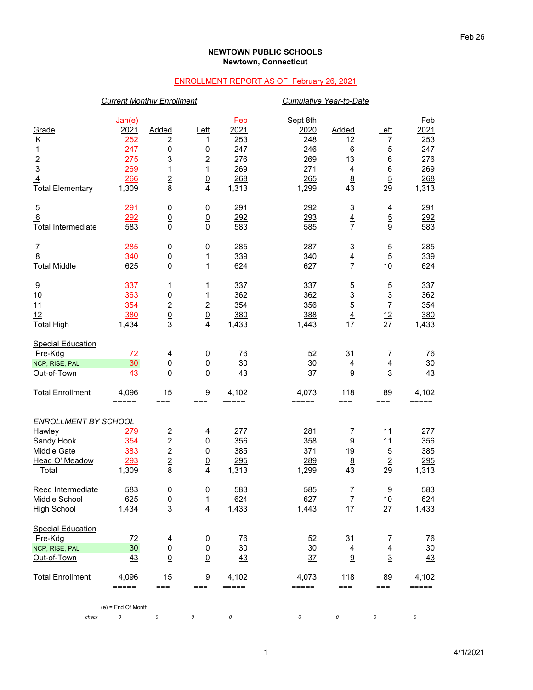## **NEWTOWN PUBLIC SCHOOLS Newtown, Connecticut**

## ENROLLMENT REPORT AS OF February 26, 2021

|                             | <b>Current Monthly Enrollment</b> |                                  |                         |                              |                         | Cumulative Year-to-Date          |                         |                    |  |
|-----------------------------|-----------------------------------|----------------------------------|-------------------------|------------------------------|-------------------------|----------------------------------|-------------------------|--------------------|--|
| Grade<br>Κ                  | Jan(e)<br>2021<br>252             | Added<br>$\overline{\mathbf{c}}$ | $L$ eft<br>1            | Feb<br>2021<br>253           | Sept 8th<br>2020<br>248 | <b>Added</b><br>12               | $L$ eft<br>7            | Feb<br>2021<br>253 |  |
| 1                           | 247                               | 0                                | 0                       | 247                          | 246                     | 6                                | $\mathbf 5$             | 247                |  |
| $\overline{\mathbf{c}}$     | 275                               | 3                                | 2                       | 276                          | 269                     | 13                               | $\,6\,$                 | 276                |  |
| 3                           | 269                               | 1                                | 1                       | 269                          | 271                     | 4                                | $\,6\,$                 | 269                |  |
| $\overline{4}$              | 266                               | $\overline{2}$<br>8              | $\underline{0}$<br>4    | 268                          | 265                     | 8<br>43                          | $\overline{5}$<br>29    | 268                |  |
| <b>Total Elementary</b>     | 1,309                             |                                  |                         | 1,313                        | 1,299                   |                                  |                         | 1,313              |  |
| 5                           | 291                               | $\pmb{0}$                        | 0                       | 291                          | 292                     | 3                                | 4                       | 291                |  |
| 6                           | 292                               | $\underline{0}$                  | $\underline{0}$         | 292                          | 293                     | $\overline{4}$<br>$\overline{7}$ | $\overline{5}$          | 292                |  |
| <b>Total Intermediate</b>   | 583                               | $\overline{0}$                   | $\mathbf 0$             | 583                          | 585                     |                                  | 9                       | 583                |  |
| $\overline{7}$              | 285                               | 0                                | 0                       | 285                          | 287                     | 3                                | 5                       | 285                |  |
| $\overline{8}$              | 340                               | $\underline{0}$                  | $\overline{1}$          | 339                          | 340                     | $\overline{4}$                   | $\overline{5}$          | 339                |  |
| <b>Total Middle</b>         | 625                               | $\mathbf 0$                      | $\mathbf{1}$            | 624                          | 627                     | $\overline{7}$                   | 10                      | 624                |  |
| $\boldsymbol{9}$            | 337                               | 1                                | 1                       | 337                          | 337                     | 5                                | 5                       | 337                |  |
| 10                          | 363                               | 0                                | 1                       | 362                          | 362                     | $\mathsf 3$                      | 3                       | 362                |  |
| 11                          | 354                               | $\boldsymbol{2}$                 | $\boldsymbol{2}$        | 354                          | 356                     | $\overline{5}$                   | $\overline{7}$          | 354                |  |
| 12                          | 380                               | $\frac{0}{3}$                    | $\underline{0}$         | 380                          | 388                     | $\overline{4}$                   | 12                      | 380                |  |
| <b>Total High</b>           | 1,434                             |                                  | 4                       | 1,433                        | 1,443                   | 17                               | 27                      | 1,433              |  |
| <b>Special Education</b>    |                                   |                                  |                         |                              |                         |                                  |                         |                    |  |
| Pre-Kdg                     | 72                                | 4                                | $\pmb{0}$               | 76                           | 52                      | 31                               | 7                       | 76                 |  |
| NCP, RISE, PAL              | 30                                | $\mathbf 0$                      | 0                       | 30                           | 30                      | 4                                | 4                       | 30                 |  |
| Out-of-Town                 | 43                                | $\underline{0}$                  | $\underline{0}$         | 43                           | 37                      | 9                                | $\overline{3}$          | 43                 |  |
| <b>Total Enrollment</b>     | 4,096<br>$=====$                  | 15<br>$==$                       | 9<br>$==$               | 4,102<br>$=$ $=$ $=$ $=$ $=$ | 4,073<br>=====          | 118<br>$==$                      | 89<br>$==$              | 4,102<br>$=====$   |  |
|                             |                                   |                                  |                         |                              |                         |                                  |                         |                    |  |
| <b>ENROLLMENT BY SCHOOL</b> |                                   |                                  |                         |                              |                         |                                  |                         |                    |  |
| Hawley                      | 279                               | $\boldsymbol{2}$                 | 4                       | 277                          | 281                     | 7                                | 11                      | 277                |  |
| Sandy Hook                  | 354                               | $\overline{c}$                   | 0                       | 356                          | 358                     | 9                                | 11                      | 356                |  |
| Middle Gate                 | 383                               | $\boldsymbol{2}$                 | 0                       | 385                          | 371                     | 19                               | 5                       | 385                |  |
| Head O' Meadow              | 293                               | $\overline{2}$                   | $\overline{0}$          | 295                          | 289                     | 8                                | $\overline{2}$          | 295                |  |
| Total                       | 1,309                             | 8                                | 4                       | 1,313                        | 1,299                   | 43                               | 29                      | 1,313              |  |
| Reed Intermediate           | 583                               | 0                                | $\pmb{0}$               | 583                          | 585                     | $\boldsymbol{7}$                 | $\boldsymbol{9}$        | 583                |  |
| Middle School               | 625                               | 0                                | 1                       | 624                          | 627                     | 7                                | 10                      | 624                |  |
| <b>High School</b>          | 1,434                             | 3                                | $\overline{\mathbf{4}}$ | 1,433                        | 1,443                   | 17                               | 27                      | 1,433              |  |
| <b>Special Education</b>    |                                   |                                  |                         |                              |                         |                                  |                         |                    |  |
| Pre-Kdg                     | 72                                | 4                                | 0                       | 76                           | 52                      | 31                               | 7                       | 76                 |  |
| NCP, RISE, PAL              | 30                                | 0                                | 0                       | 30                           | 30                      | 4                                | $\overline{\mathbf{4}}$ | 30                 |  |
| Out-of-Town                 | 43                                | $\underline{0}$                  | $\underline{0}$         | 43                           | $\frac{37}{2}$          | 9                                | $\overline{3}$          | $\frac{43}{1}$     |  |
| <b>Total Enrollment</b>     | 4,096<br>$=====$                  | 15<br>$==$                       | $\boldsymbol{9}$<br>≕≕  | 4,102<br>$=====$             | 4,073<br>=====          | 118<br>$==$                      | 89<br>≕≕                | 4,102<br>=====     |  |
|                             |                                   |                                  |                         |                              |                         |                                  |                         |                    |  |
| check                       | $(e)$ = End Of Month<br>0         | 0                                | 0                       | 0                            | 0                       | 0                                | 0                       | 0                  |  |
|                             |                                   |                                  |                         |                              |                         |                                  |                         |                    |  |